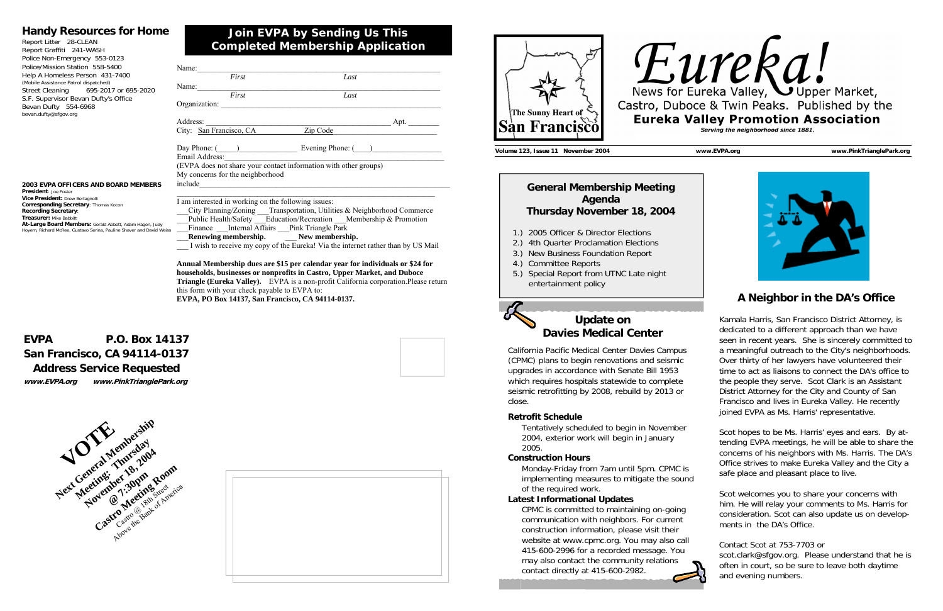# **Join EVPA by Sending Us This Completed Membership Application**

### **Handy Resources for Home**

Report Litter 28-CLEAN Report Graffiti 241-WASH Police Non-Emergency 553-0123 Police/Mission Station 558-5400 Help A Homeless Person 431-7400 (Mobile Assistance Patrol dispatched) Street Cleaning 695-2017 or 695-2020 S.F. Supervisor Bevan Dufty's Office Bevan Dufty 554-6968 bevan.dufty@sfgov.org

#### **2003 EVPA OFFICERS AND BOARD MEMBERS President**: Joe Foster **Vice President:** Drew Bertagnolli **Corresponding Secretary**: Thomas Kocon **Recording Secretary**: **Treasurer: Mike Babbitt**

# **EVPA P.O. Box 14137 San Francisco, CA 94114-0137 Address Service Requested**



**www.EVPA.org www.PinkTrianglePark.org** 

# **At-Large Board Members:** Gerald Abbott, Adam Hagen, Judy Hoyem, Richard McRee, Gustavo Serina, Pauline Shaver and David Weiss

# **Eureka Valley, Supper Market,** Castro, Duboce & Twin Peaks. Published by the **Eureka Valley Promotion Association** Serving the neighborhood since 1881.









| Name:                                                            |                                                                        |
|------------------------------------------------------------------|------------------------------------------------------------------------|
| First                                                            | Last                                                                   |
| Name:                                                            |                                                                        |
| First                                                            | Last                                                                   |
| Organization:                                                    |                                                                        |
| Address:                                                         | Apt. $\_\_$                                                            |
| City: San Francisco, CA                                          | Zip Code                                                               |
| Email Address:                                                   | Day Phone: ( ) Evening Phone: ( )                                      |
| (EVPA does not share your contact information with other groups) |                                                                        |
| My concerns for the neighborhood<br>include                      |                                                                        |
| I am interested in working on the following issues:              |                                                                        |
|                                                                  | City Planning/Zoning Transportation, Utilities & Neighborhood Commerce |
|                                                                  | Public Health/Safety Education/Recreation Membership & Promotion       |

Finance Internal Affairs Pink Triangle Park \_\_\_**Renewing membership.** \_\_\_ **New membership.**  I wish to receive my copy of the Eureka! Via the internet rather than by US Mail

**Annual Membership dues are \$15 per calendar year for individuals or \$24 for households, businesses or nonprofits in Castro, Upper Market, and Duboce Triangle (Eureka Valley).** EVPA is a non-profit California corporation.Please return this form with your check payable to EVPA to: **EVPA, PO Box 14137, San Francisco, CA 94114-0137.**

**Volume 123, Issue 11 November 2004 www.EVPA.org www.PinkTrianglePark.org** 

# **A Neighbor in the DA's Office**

Kamala Harris, San Francisco District Attorney, is dedicated to a different approach than we have seen in recent years. She is sincerely committed to a meaningful outreach to the City's neighborhoods. Over thirty of her lawyers have volunteered their time to act as liaisons to connect the DA's office to the people they serve. Scot Clark is an Assistant District Attorney for the City and County of San Francisco and lives in Eureka Valley. He recently joined EVPA as Ms. Harris' representative.

Scot hopes to be Ms. Harris' eyes and ears. By attending EVPA meetings, he will be able to share the concerns of his neighbors with Ms. Harris. The DA's Office strives to make Eureka Valley and the City a safe place and pleasant place to live.

Scot welcomes you to share your concerns with him. He will relay your comments to Ms. Harris for consideration. Scot can also update us on developments in the DA's Office.

Contact Scot at 753-7703 or

scot.clark@sfgov.org. Please understand that he is often in court, so be sure to leave both daytime and evening numbers.



## **General Membership Meeting Agenda Thursday November 18, 2004**

- 1.) 2005 Officer & Director Elections
- 2.) 4th Quarter Proclamation Elections
- 3.) New Business Foundation Report
- 4.) Committee Reports
- 5.) Special Report from UTNC Late night entertainment policy



# **Update on Davies Medical Center**

California Pacific Medical Center Davies Campus (CPMC) plans to begin renovations and seismic upgrades in accordance with Senate Bill 1953 which requires hospitals statewide to complete seismic retrofitting by 2008, rebuild by 2013 or close.

### **Retrofit Schedule**

 Tentatively scheduled to begin in November 2004, exterior work will begin in January 2005.

### **Construction Hours**

 Monday-Friday from 7am until 5pm. CPMC is implementing measures to mitigate the sound of the required work.

### **Latest Informational Updates**

CPMC is committed to maintaining on-going communication with neighbors. For current construction information, please visit their website at www.cpmc.org. You may also call 415-600-2996 for a recorded message. You may also contact the community relations contact directly at 415-600-2982.